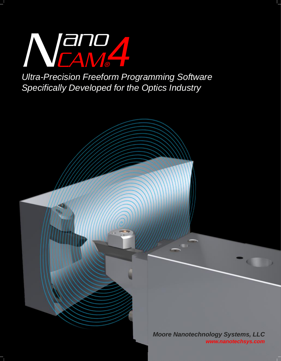

**Ultra-Precision Freeform Programming Software** Specifically Developed for the Optics Industry

> **Moore Nanotechnology Systems, LLC** www.nanotechsys.com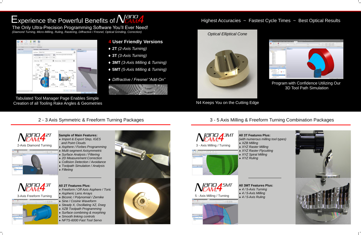# Experience the Powerful Benefits of  $N_{\text{CAM}}^{app}$

The Only Ultra-Precision Programming Software You'll Ever Need! *(Diamond Turning, Micro-Milling, Ruling, Rastering, Diffractive / Fresnel, Optical Grinding, Correction)*







### 2-Axis Diamond Turning





# **4 User Friendly Versions**

# 2 - 3 Axis Symmetric & Freeform Turning Packages 3 - 5 Axis Milling & Freeform Turning Combination Packages

- **Sample of Main Features:** *Import & Export Step, IGES and Point Clouds*
- *Asphere / Forbes Programming*
- *Multi-segment Axisymmetric*
- *Surface Analysis / Filtering 2D Measurement Correction*
- *Collision Detection / Avoidance*
- *Toolpath Simulation / Analysis*
- *Filleting*

Tabulated Tool Manager Page Enables Simple Creation of all Tooling Rake Angles & Geometries Notice 1997 and Section 2014 Reeps You on the Cutting Edge

### **All 2T Features Plus:**

- **2T** *(2-Axis Turning)*
- **3T** *(3-Axis Turning)*
- **3MT** *(3-Axis Milling & Turning)*
- **5MT** *(5-Axis Milling & Turning)*
- *Diffractive / Fresnel "Add-On"*



- *Freeform / Off Axis Asphere / Toric*
- *Aspheric Lens Arrays*
- *Biconic / Polynomial / Zernike*
- *Sine / Cosine Waveform*
- *Steady X, Oscillating XZ, Dseg*
- *XZB Toolpath Programming*
- *Surface combining & morphing*
- *Smooth linking controls*
- *NFTS-6000 Fast Tool Servo*

**All 3T Features Plus:** *(with numerous milling tool types)*



 *XZB Milling XYZ Raster Milling XYZ Raster Flycutting XYZ Spiral Milling XYZ Ruling*



### **All 3MT Features Plus:** *4 / 5-Axis Turning 4 / 5-Axis Milling 4 / 5-Axis Ruling*



Highest Accuracies ~ Fastest Cycle Times ~ Best Optical Results



Program with Confidence Utilizing Our 3D Tool Path Simulation